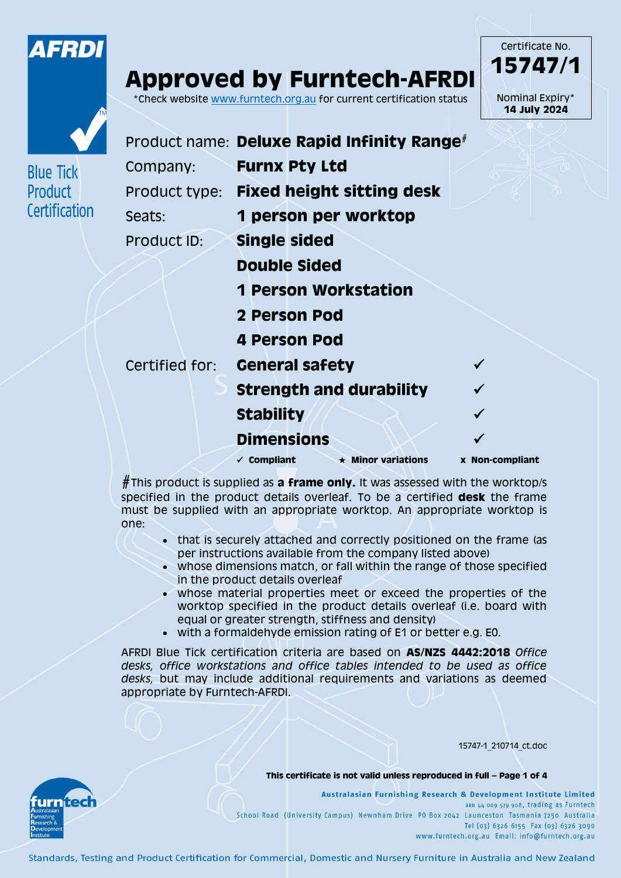

**Blue Tick** Product

Certification

urntech

# **Approved by Furntech-AFRDI**

\*Check website [www.furntech.org.au](http://www.furntech.org.au/) for current certification status

Certificate No. **15747/1** Nominal Expiry\* **14 July 2024**

|                | Product name: Deluxe Rapid Infinity Range <sup>#</sup> |                 |
|----------------|--------------------------------------------------------|-----------------|
| Company:       | <b>Furnx Pty Ltd</b>                                   |                 |
|                | Product type: Fixed height sitting desk                |                 |
| Seats:         | 1 person per worktop                                   |                 |
| Product ID:    | <b>Single sided</b>                                    |                 |
|                | Double Sided                                           |                 |
|                | <b>1 Person Workstation</b>                            |                 |
|                | 2 Person Pod                                           |                 |
|                | 4 Person Pod                                           |                 |
| Certified for: | <b>General safety</b>                                  |                 |
|                | <b>Strength and durability</b>                         |                 |
|                | <b>Stability</b>                                       |                 |
|                | <b>Dimensions</b>                                      |                 |
|                | $\star$ Minor variations<br>$\checkmark$ Compliant     | x Non-compliant |
|                |                                                        |                 |

**#**This product is supplied as **a frame only.** It was assessed with the worktop/s specified in the product details overleaf. To be a certified **desk** the frame must be supplied with an appropriate worktop. An appropriate worktop is one:

- that is securely attached and correctly positioned on the frame (as per instructions available from the company listed above)
- whose dimensions match, or fall within the range of those specified in the product details overleaf
- whose material properties meet or exceed the properties of the worktop specified in the product details overleaf (i.e. board with equal or greater strength, stiffness and density)
- with a formaldehyde emission rating of E1 or better e.g. E0.

AFRDI Blue Tick certification criteria are based on **AS/NZS 4442:2018** *Office desks, office workstations and office tables intended to be used as office desks,* but may include additional requirements and variations as deemed appropriate by Furntech-AFRDI.

15747-1\_210714\_ct.doc

**This certificate is not valid unless reproduced in full – Page 1 of 4**

Australasian Furnishing Research & Development Institute Limited ABN 44 009 579 908, trading as Furntech School Road (University Campus) Newnham Drive PO Box 2042 Launceston Tasmania 7250 Australia Tel (03) 6326 6155 Fax (03) 6326 3090 www.furntech.org.au Email: info@furntech.org.au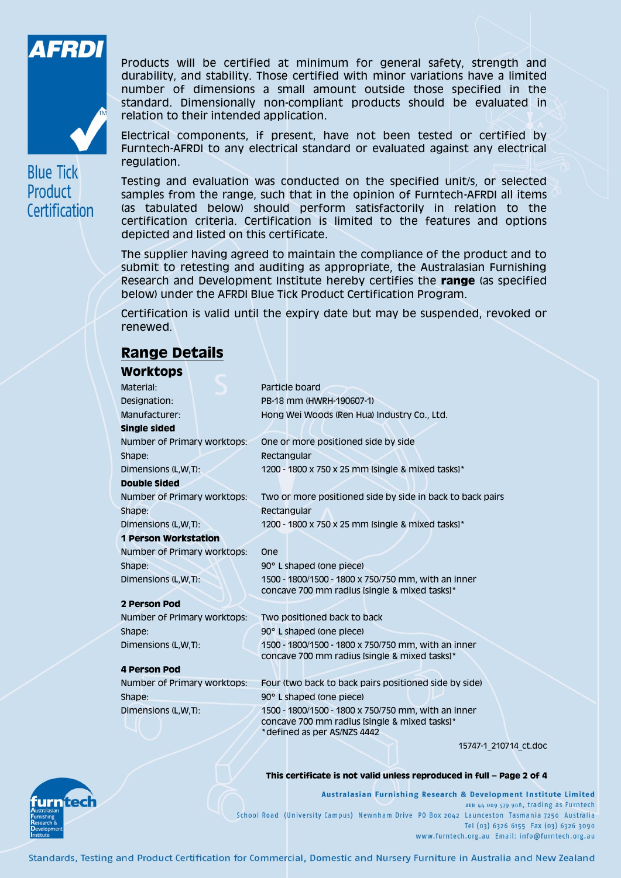



**Blue Tick** Product Certification

Products will be certified at minimum for general safety, strength and durability, and stability. Those certified with minor variations have a limited number of dimensions a small amount outside those specified in the standard. Dimensionally non-compliant products should be evaluated in relation to their intended application.

Electrical components, if present, have not been tested or certified by Furntech-AFRDI to any electrical standard or evaluated against any electrical regulation.

Testing and evaluation was conducted on the specified unit/s, or selected samples from the range, such that in the opinion of Furntech-AFRDI all items (as tabulated below) should perform satisfactorily in relation to the certification criteria. Certification is limited to the features and options depicted and listed on this certificate.

The supplier having agreed to maintain the compliance of the product and to submit to retesting and auditing as appropriate, the Australasian Furnishing Research and Development Institute hereby certifies the **range** (as specified below) under the AFRDI Blue Tick Product Certification Program.

Certification is valid until the expiry date but may be suspended, revoked or renewed.

## **Range Details**

### **Worktons**

| TTUI RUUMJ                  |                                                                                                                                     |
|-----------------------------|-------------------------------------------------------------------------------------------------------------------------------------|
| Material:                   | Particle board                                                                                                                      |
| Designation:                | PB-18 mm (HWRH-190607-1)                                                                                                            |
| Manufacturer:               | Hong Wei Woods (Ren Hua) Industry Co., Ltd.                                                                                         |
| Single sided                |                                                                                                                                     |
| Number of Primary worktops: | One or more positioned side by side                                                                                                 |
| Shape:                      | Rectangular                                                                                                                         |
| Dimensions (L,W,T):         | 1200 - 1800 x 750 x 25 mm Isingle & mixed tasks]*                                                                                   |
| <b>Double Sided</b>         |                                                                                                                                     |
| Number of Primary worktops: | Two or more positioned side by side in back to back pairs                                                                           |
| Shape:                      | Rectangular                                                                                                                         |
| Dimensions (L,W,T):         | 1200 - 1800 x 750 x 25 mm [single & mixed tasks]*                                                                                   |
| <b>1 Person Workstation</b> |                                                                                                                                     |
| Number of Primary worktops: | <b>One</b>                                                                                                                          |
| Shape:                      | 90° L shaped (one piece)                                                                                                            |
| Dimensions (L,W,T):         | 1500 - 1800/1500 - 1800 x 750/750 mm, with an inner                                                                                 |
|                             | concave 700 mm radius Isingle & mixed tasksl*                                                                                       |
| 2 Person Pod                |                                                                                                                                     |
| Number of Primary worktops: | Two positioned back to back                                                                                                         |
| Shape:                      | 90° L shaped (one piece)                                                                                                            |
| Dimensions (L,W,T):         | 1500 - 1800/1500 - 1800 x 750/750 mm, with an inner<br>concave 700 mm radius Isingle & mixed tasks]*                                |
| <b>4 Person Pod</b>         |                                                                                                                                     |
| Number of Primary worktops: | Four (two back to back pairs positioned side by side)                                                                               |
| Shape:                      | 90° L shaped (one piece)                                                                                                            |
| Dimensions (L,W,T):         | 1500 - 1800/1500 - 1800 x 750/750 mm, with an inner<br>concave 700 mm radius Isingle & mixed tasks]*<br>*defined as per AS/NZS 4442 |

15747-1\_210714\_ct.doc

#### **This certificate is not valid unless reproduced in full – Page 2 of 4**

Australasian Furnishing Research & Development Institute Limited ABN 44 009 579 908, trading as Furntech School Road (University Campus) Newnham Drive PO Box 2042 Launceston Tasmania 7250 Australia Tel (03) 6326 6155 Fax (03) 6326 3090 www.furntech.org.au Email: info@furntech.org.au

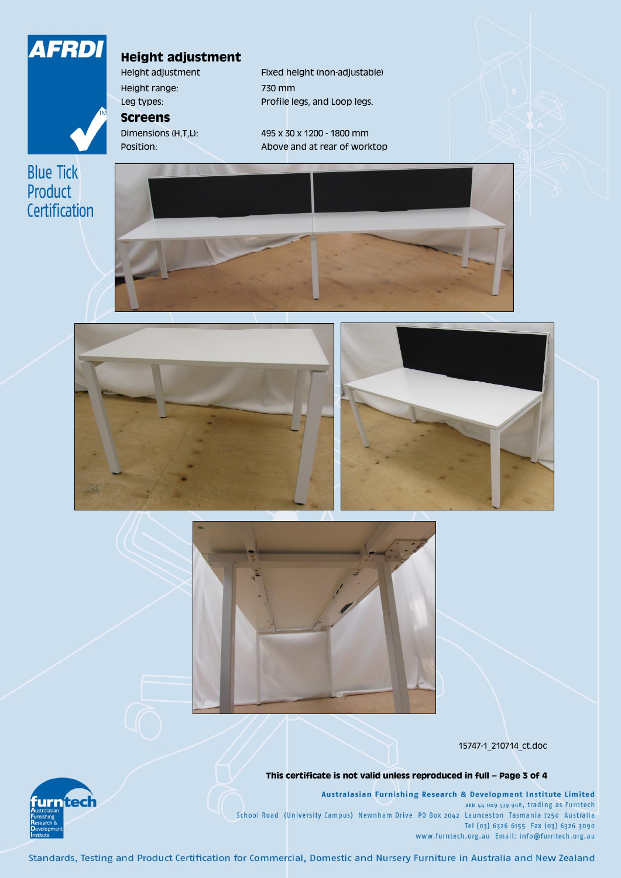

## **Height adjustment**

Height range: 730 mm

**Screens**

Height adjustment Fixed height (non-adjustable) Leg types: Profile legs, and Loop legs.

Dimensions (H,T,L): 495 x 30 x 1200 - 1800 mm Position: Above and at rear of worktop









15747-1\_210714\_ct.doc

**This certificate is not valid unless reproduced in full – Page 3 of 4**

Australasian Furnishing Research & Development Institute Limited ABN 44 009 579 908, trading as Furntech School Road (University Campus) Newnham Drive PO Box 2042 Launceston Tasmania 7250 Australia Tel (03) 6326 6155 Fax (03) 6326 3090 www.furntech.org.au Email: info@furntech.org.au